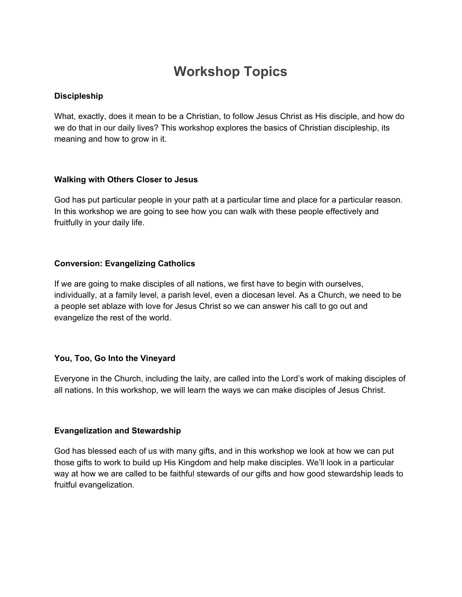# **Workshop Topics**

# **Discipleship**

What, exactly, does it mean to be a Christian, to follow Jesus Christ as His disciple, and how do we do that in our daily lives? This workshop explores the basics of Christian discipleship, its meaning and how to grow in it.

# **Walking with Others Closer to Jesus**

God has put particular people in your path at a particular time and place for a particular reason. In this workshop we are going to see how you can walk with these people effectively and fruitfully in your daily life.

# **Conversion: Evangelizing Catholics**

If we are going to make disciples of all nations, we first have to begin with ourselves, individually, at a family level, a parish level, even a diocesan level. As a Church, we need to be a people set ablaze with love for Jesus Christ so we can answer his call to go out and evangelize the rest of the world.

# **You, Too, Go Into the Vineyard**

Everyone in the Church, including the laity, are called into the Lord's work of making disciples of all nations. In this workshop, we will learn the ways we can make disciples of Jesus Christ.

## **Evangelization and Stewardship**

God has blessed each of us with many gifts, and in this workshop we look at how we can put those gifts to work to build up His Kingdom and help make disciples. We'll look in a particular way at how we are called to be faithful stewards of our gifts and how good stewardship leads to fruitful evangelization.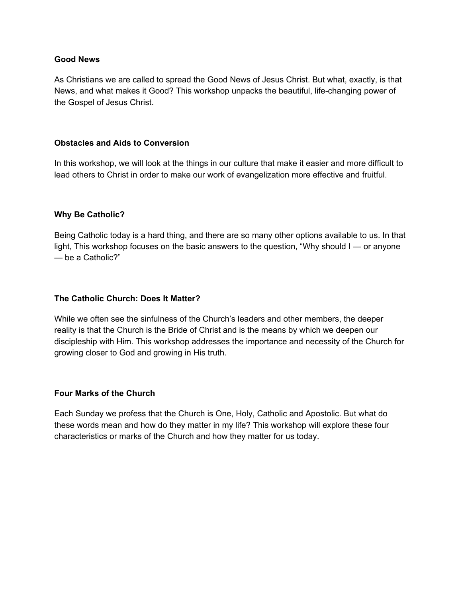## **Good News**

As Christians we are called to spread the Good News of Jesus Christ. But what, exactly, is that News, and what makes it Good? This workshop unpacks the beautiful, life-changing power of the Gospel of Jesus Christ.

## **Obstacles and Aids to Conversion**

In this workshop, we will look at the things in our culture that make it easier and more difficult to lead others to Christ in order to make our work of evangelization more effective and fruitful.

## **Why Be Catholic?**

Being Catholic today is a hard thing, and there are so many other options available to us. In that light, This workshop focuses on the basic answers to the question, "Why should I — or anyone — be a Catholic?"

### **The Catholic Church: Does It Matter?**

While we often see the sinfulness of the Church's leaders and other members, the deeper reality is that the Church is the Bride of Christ and is the means by which we deepen our discipleship with Him. This workshop addresses the importance and necessity of the Church for growing closer to God and growing in His truth.

## **Four Marks of the Church**

Each Sunday we profess that the Church is One, Holy, Catholic and Apostolic. But what do these words mean and how do they matter in my life? This workshop will explore these four characteristics or marks of the Church and how they matter for us today.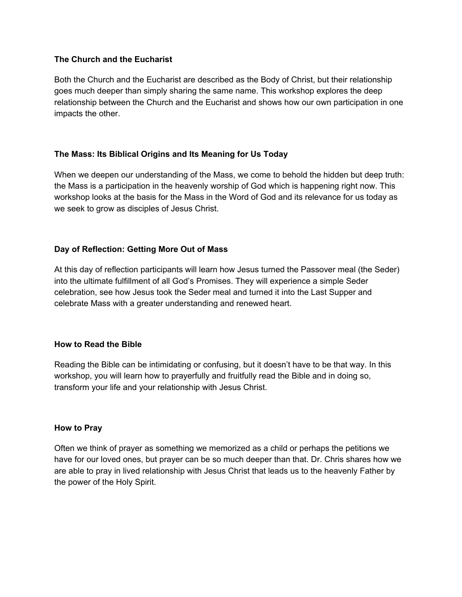# **The Church and the Eucharist**

Both the Church and the Eucharist are described as the Body of Christ, but their relationship goes much deeper than simply sharing the same name. This workshop explores the deep relationship between the Church and the Eucharist and shows how our own participation in one impacts the other.

# **The Mass: Its Biblical Origins and Its Meaning for Us Today**

When we deepen our understanding of the Mass, we come to behold the hidden but deep truth: the Mass is a participation in the heavenly worship of God which is happening right now. This workshop looks at the basis for the Mass in the Word of God and its relevance for us today as we seek to grow as disciples of Jesus Christ.

# **Day of Reflection: Getting More Out of Mass**

At this day of reflection participants will learn how Jesus turned the Passover meal (the Seder) into the ultimate fulfillment of all God's Promises. They will experience a simple Seder celebration, see how Jesus took the Seder meal and turned it into the Last Supper and celebrate Mass with a greater understanding and renewed heart.

## **How to Read the Bible**

Reading the Bible can be intimidating or confusing, but it doesn't have to be that way. In this workshop, you will learn how to prayerfully and fruitfully read the Bible and in doing so, transform your life and your relationship with Jesus Christ.

## **How to Pray**

Often we think of prayer as something we memorized as a child or perhaps the petitions we have for our loved ones, but prayer can be so much deeper than that. Dr. Chris shares how we are able to pray in lived relationship with Jesus Christ that leads us to the heavenly Father by the power of the Holy Spirit.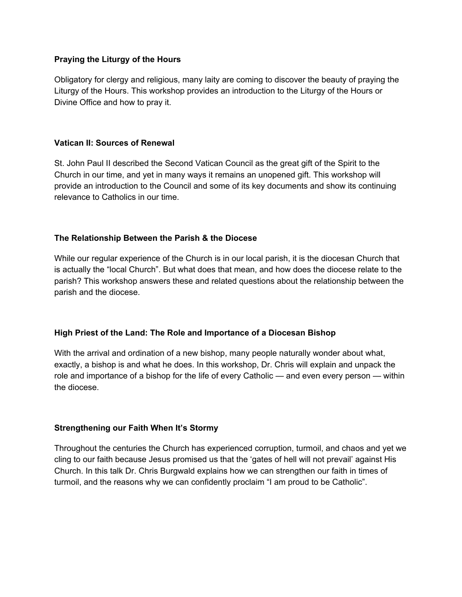# **Praying the Liturgy of the Hours**

Obligatory for clergy and religious, many laity are coming to discover the beauty of praying the Liturgy of the Hours. This workshop provides an introduction to the Liturgy of the Hours or Divine Office and how to pray it.

## **Vatican II: Sources of Renewal**

St. John Paul II described the Second Vatican Council as the great gift of the Spirit to the Church in our time, and yet in many ways it remains an unopened gift. This workshop will provide an introduction to the Council and some of its key documents and show its continuing relevance to Catholics in our time.

# **The Relationship Between the Parish & the Diocese**

While our regular experience of the Church is in our local parish, it is the diocesan Church that is actually the "local Church". But what does that mean, and how does the diocese relate to the parish? This workshop answers these and related questions about the relationship between the parish and the diocese.

# **High Priest of the Land: The Role and Importance of a Diocesan Bishop**

With the arrival and ordination of a new bishop, many people naturally wonder about what, exactly, a bishop is and what he does. In this workshop, Dr. Chris will explain and unpack the role and importance of a bishop for the life of every Catholic — and even every person — within the diocese.

## **Strengthening our Faith When It's Stormy**

Throughout the centuries the Church has experienced corruption, turmoil, and chaos and yet we cling to our faith because Jesus promised us that the 'gates of hell will not prevail' against His Church. In this talk Dr. Chris Burgwald explains how we can strengthen our faith in times of turmoil, and the reasons why we can confidently proclaim "I am proud to be Catholic".